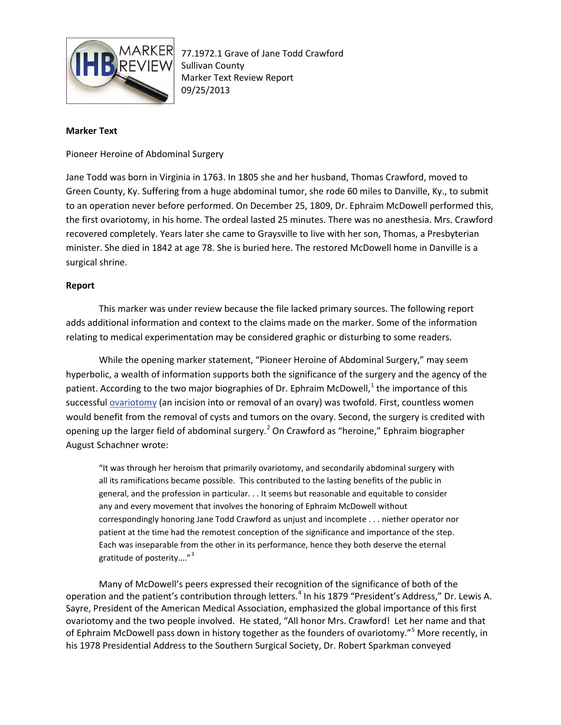

## **Marker Text**

Pioneer Heroine of Abdominal Surgery

Jane Todd was born in Virginia in 1763. In 1805 she and her husband, Thomas Crawford, moved to Green County, Ky. Suffering from a huge abdominal tumor, she rode 60 miles to Danville, Ky., to submit to an operation never before performed. On December 25, 1809, Dr. Ephraim McDowell performed this, the first ovariotomy, in his home. The ordeal lasted 25 minutes. There was no anesthesia. Mrs. Crawford recovered completely. Years later she came to Graysville to live with her son, Thomas, a Presbyterian minister. She died in 1842 at age 78. She is buried here. The restored McDowell home in Danville is a surgical shrine.

## **Report**

This marker was under review because the file lacked primary sources. The following report adds additional information and context to the claims made on the marker. Some of the information relating to medical experimentation may be considered graphic or disturbing to some readers.

While the opening marker statement, "Pioneer Heroine of Abdominal Surgery," may seem hyperbolic, a wealth of information supports both the significance of the surgery and the agency of the patient. According to the two major biographies of Dr. Ephraim McDowell, $<sup>1</sup>$  $<sup>1</sup>$  $<sup>1</sup>$  the importance of this</sup> successfu[l ovariotomy](http://www.ncbi.nlm.nih.gov/pmc/articles/PMC2204893/pdf/procrsmed00687-0001.pdf) (an incision into or removal of an ovary) was twofold. First, countless women would benefit from the removal of cysts and tumors on the ovary. Second, the surgery is credited with opening up the larger field of abdominal surgery.<sup>[2](#page-2-1)</sup> On Crawford as "heroine," Ephraim biographer August Schachner wrote:

"It was through her heroism that primarily ovariotomy, and secondarily abdominal surgery with all its ramifications became possible. This contributed to the lasting benefits of the public in general, and the profession in particular. . . It seems but reasonable and equitable to consider any and every movement that involves the honoring of Ephraim McDowell without correspondingly honoring Jane Todd Crawford as unjust and incomplete . . . niether operator nor patient at the time had the remotest conception of the significance and importance of the step. Each was inseparable from the other in its performance, hence they both deserve the eternal gratitude of posterity...." $3$ 

Many of McDowell's peers expressed their recognition of the significance of both of the operation and the patient's contribution through letters.<sup>[4](#page-2-3)</sup> In his 1879 "President's Address," Dr. Lewis A. Sayre, President of the American Medical Association, emphasized the global importance of this first ovariotomy and the two people involved. He stated, "All honor Mrs. Crawford! Let her name and that of Ephraim McDowell pass down in history together as the founders of ovariotomy."<sup>[5](#page-2-4)</sup> More recently, in his 1978 Presidential Address to the Southern Surgical Society, Dr. Robert Sparkman conveyed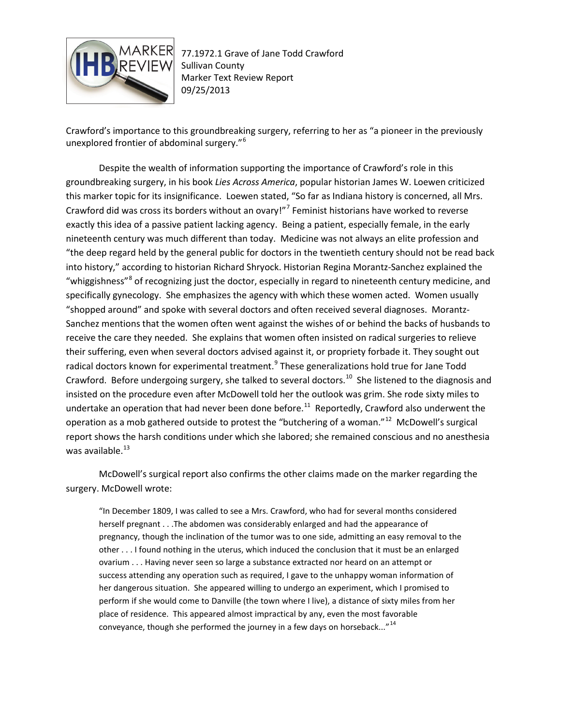

Crawford's importance to this groundbreaking surgery, referring to her as "a pioneer in the previously unexplored frontier of abdominal surgery."[6](#page-2-5)

Despite the wealth of information supporting the importance of Crawford's role in this groundbreaking surgery, in his book *Lies Across America*, popular historian James W. Loewen criticized this marker topic for its insignificance. Loewen stated, "So far as Indiana history is concerned, all Mrs. Crawford did was cross its borders without an ovary!"[7](#page-2-6) Feminist historians have worked to reverse exactly this idea of a passive patient lacking agency. Being a patient, especially female, in the early nineteenth century was much different than today. Medicine was not always an elite profession and "the deep regard held by the general public for doctors in the twentieth century should not be read back into history," according to historian Richard Shryock. Historian Regina Morantz-Sanchez explained the "whiggishness"<sup>[8](#page-3-0)</sup> of recognizing just the doctor, especially in regard to nineteenth century medicine, and specifically gynecology. She emphasizes the agency with which these women acted. Women usually "shopped around" and spoke with several doctors and often received several diagnoses. Morantz-Sanchez mentions that the women often went against the wishes of or behind the backs of husbands to receive the care they needed. She explains that women often insisted on radical surgeries to relieve their suffering, even when several doctors advised against it, or propriety forbade it. They sought out radical doctors known for experimental treatment.<sup>[9](#page-3-1)</sup> These generalizations hold true for Jane Todd Crawford. Before undergoing surgery, she talked to several doctors.<sup>10</sup> She listened to the diagnosis and insisted on the procedure even after McDowell told her the outlook was grim. She rode sixty miles to undertake an operation that had never been done before.<sup>[11](#page-3-3)</sup> Reportedly, Crawford also underwent the operation as a mob gathered outside to protest the "butchering of a woman."[12](#page-3-4) McDowell's surgical report shows the harsh conditions under which she labored; she remained conscious and no anesthesia was available. $^{13}$  $^{13}$  $^{13}$ 

McDowell's surgical report also confirms the other claims made on the marker regarding the surgery. McDowell wrote:

"In December 1809, I was called to see a Mrs. Crawford, who had for several months considered herself pregnant . . .The abdomen was considerably enlarged and had the appearance of pregnancy, though the inclination of the tumor was to one side, admitting an easy removal to the other . . . I found nothing in the uterus, which induced the conclusion that it must be an enlarged ovarium . . . Having never seen so large a substance extracted nor heard on an attempt or success attending any operation such as required, I gave to the unhappy woman information of her dangerous situation. She appeared willing to undergo an experiment, which I promised to perform if she would come to Danville (the town where I live), a distance of sixty miles from her place of residence. This appeared almost impractical by any, even the most favorable conveyance, though she performed the journey in a few days on horseback..."<sup>[14](#page-3-6)</sup>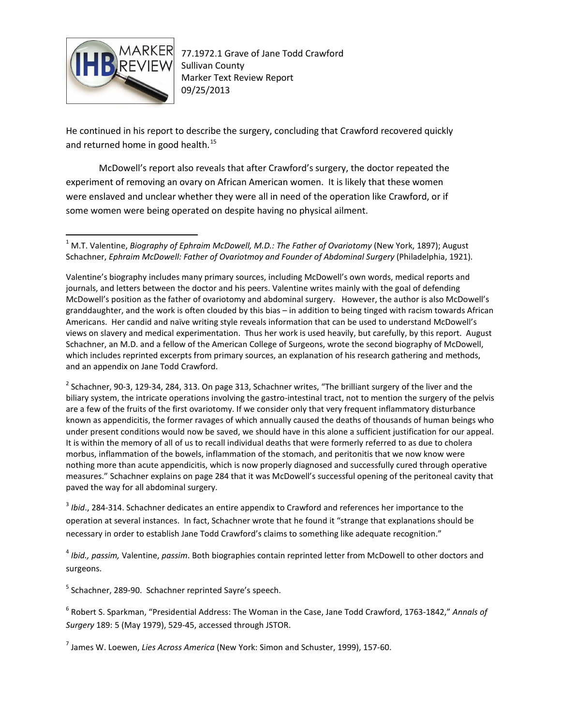

He continued in his report to describe the surgery, concluding that Crawford recovered quickly and returned home in good health.<sup>[15](#page-3-7)</sup>

McDowell's report also reveals that after Crawford's surgery, the doctor repeated the experiment of removing an ovary on African American women. It is likely that these women were enslaved and unclear whether they were all in need of the operation like Crawford, or if some women were being operated on despite having no physical ailment.

<span id="page-2-1"></span> $2$  Schachner, 90-3, 129-34, 284, 313. On page 313, Schachner writes, "The brilliant surgery of the liver and the biliary system, the intricate operations involving the gastro-intestinal tract, not to mention the surgery of the pelvis are a few of the fruits of the first ovariotomy. If we consider only that very frequent inflammatory disturbance known as appendicitis, the former ravages of which annually caused the deaths of thousands of human beings who under present conditions would now be saved, we should have in this alone a sufficient justification for our appeal. It is within the memory of all of us to recall individual deaths that were formerly referred to as due to cholera morbus, inflammation of the bowels, inflammation of the stomach, and peritonitis that we now know were nothing more than acute appendicitis, which is now properly diagnosed and successfully cured through operative measures." Schachner explains on page 284 that it was McDowell's successful opening of the peritoneal cavity that paved the way for all abdominal surgery.

<span id="page-2-2"></span><sup>3</sup> *Ibid*., 284-314. Schachner dedicates an entire appendix to Crawford and references her importance to the operation at several instances. In fact, Schachner wrote that he found it "strange that explanations should be necessary in order to establish Jane Todd Crawford's claims to something like adequate recognition."

<span id="page-2-3"></span><sup>4</sup> *Ibid., passim,* Valentine, *passim*. Both biographies contain reprinted letter from McDowell to other doctors and surgeons.

<span id="page-2-4"></span><sup>5</sup> Schachner, 289-90. Schachner reprinted Sayre's speech.

<span id="page-2-5"></span><sup>6</sup> Robert S. Sparkman, "Presidential Address: The Woman in the Case, Jane Todd Crawford, 1763-1842," *Annals of Surgery* 189: 5 (May 1979), 529-45, accessed through JSTOR.

<span id="page-2-6"></span><sup>7</sup> James W. Loewen, *Lies Across America* (New York: Simon and Schuster, 1999), 157-60.

<span id="page-2-0"></span><sup>&</sup>lt;sup>1</sup> M.T. Valentine, *Biography of Ephraim McDowell, M.D.: The Father of Ovariotomy* (New York, 1897); August Schachner, *Ephraim McDowell: Father of Ovariotmoy and Founder of Abdominal Surgery* (Philadelphia, 1921).

Valentine's biography includes many primary sources, including McDowell's own words, medical reports and journals, and letters between the doctor and his peers. Valentine writes mainly with the goal of defending McDowell's position as the father of ovariotomy and abdominal surgery. However, the author is also McDowell's granddaughter, and the work is often clouded by this bias – in addition to being tinged with racism towards African Americans. Her candid and naïve writing style reveals information that can be used to understand McDowell's views on slavery and medical experimentation. Thus her work is used heavily, but carefully, by this report. August Schachner, an M.D. and a fellow of the American College of Surgeons, wrote the second biography of McDowell, which includes reprinted excerpts from primary sources, an explanation of his research gathering and methods, and an appendix on Jane Todd Crawford.